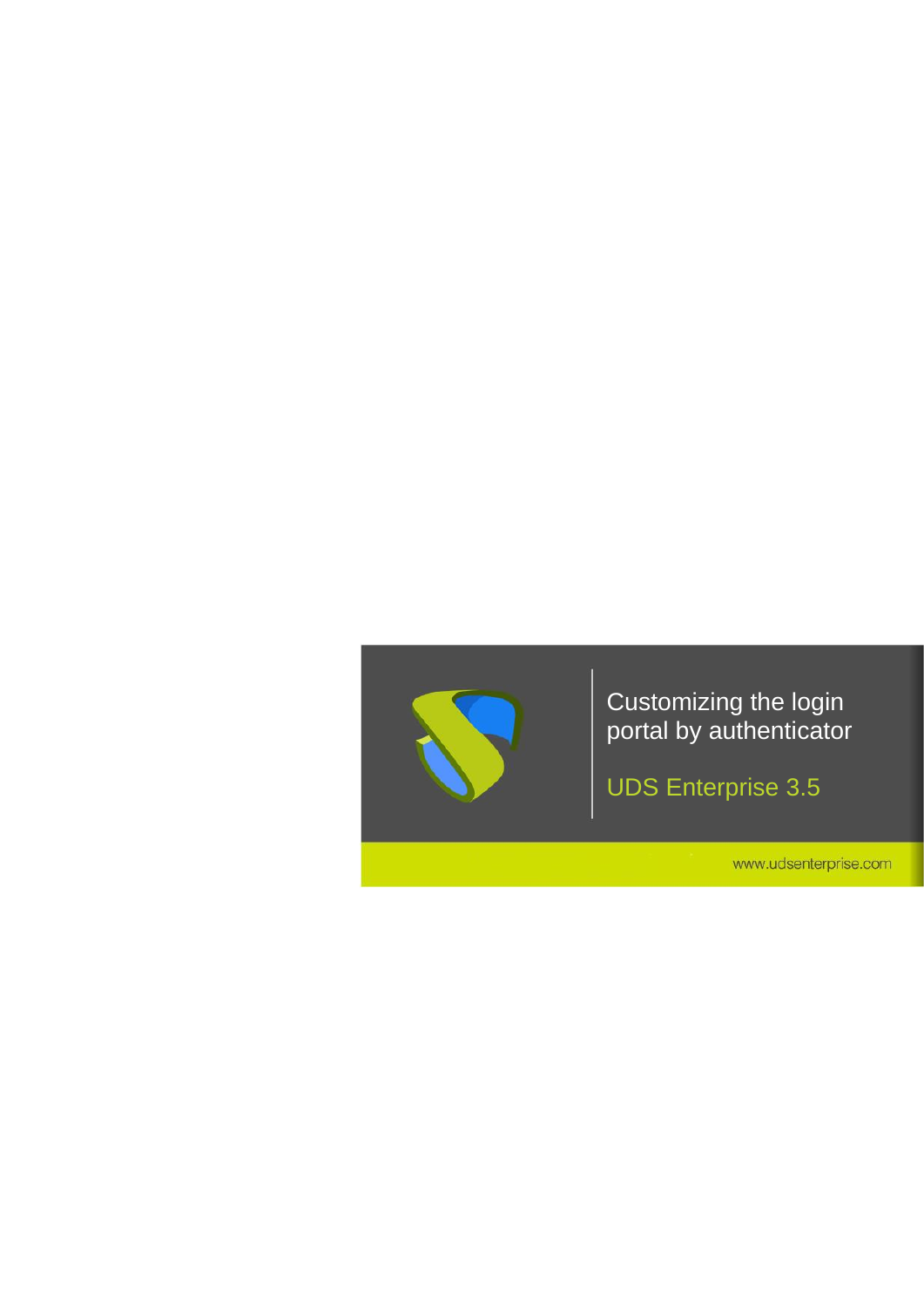

UDS Enterprise 3.5

www.udsenterprise.com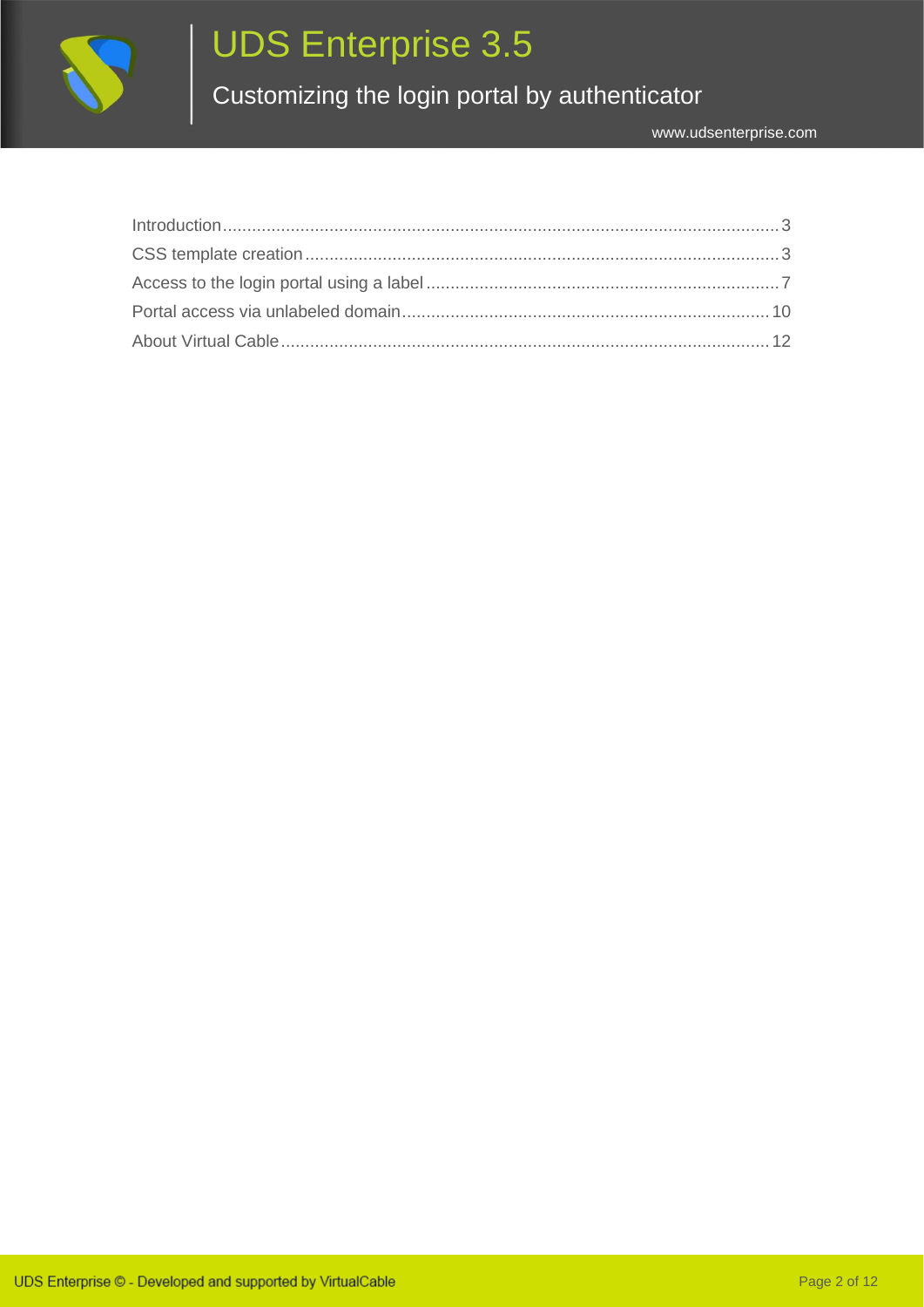

# UDS Enterprise 3.5

Customizing the login portal by authenticator

| Introduction 3 |  |
|----------------|--|
|                |  |
|                |  |
|                |  |
|                |  |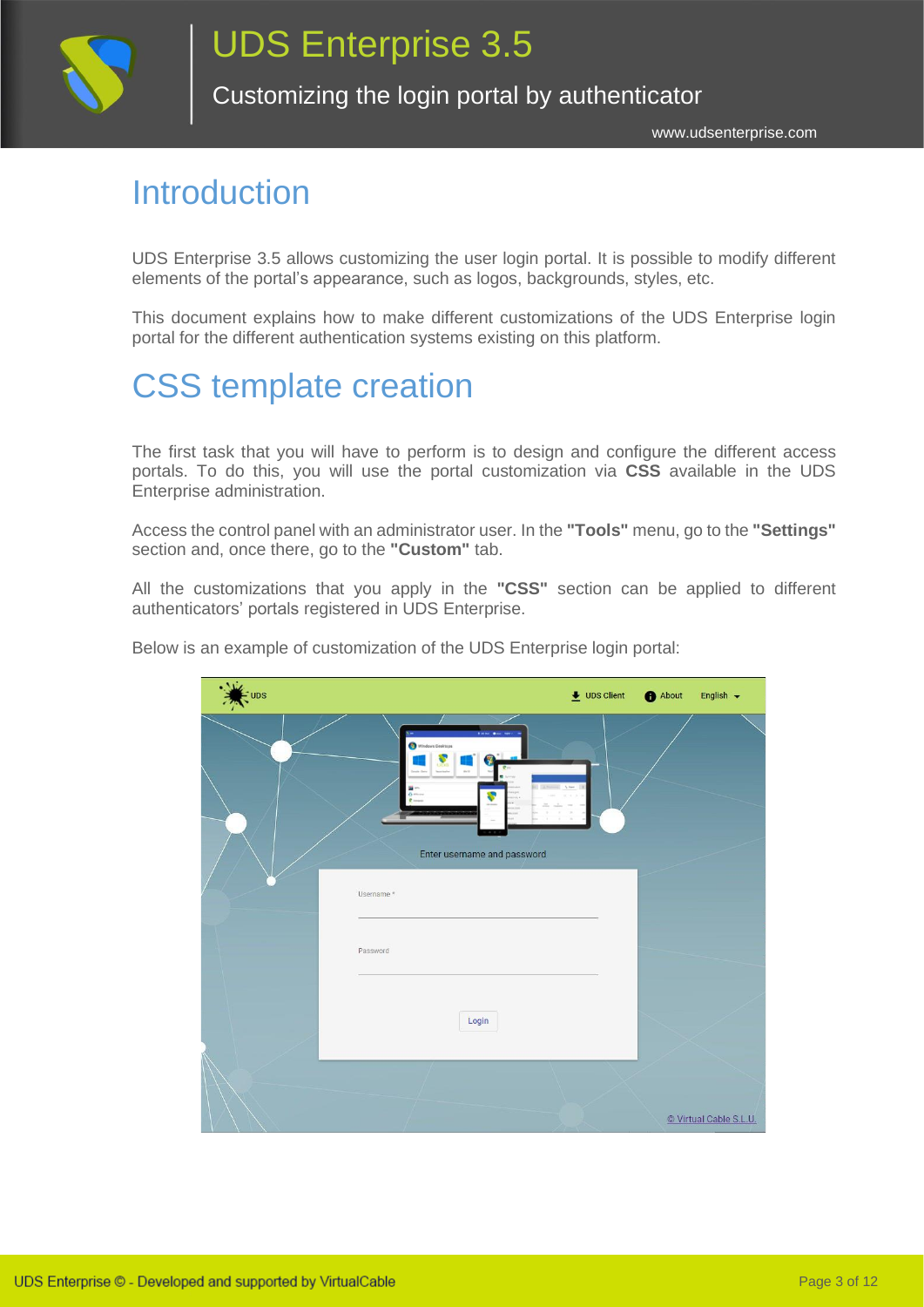

www.udsenterprise.com

#### <span id="page-2-0"></span>Introduction

UDS Enterprise 3.5 allows customizing the user login portal. It is possible to modify different elements of the portal's appearance, such as logos, backgrounds, styles, etc.

This document explains how to make different customizations of the UDS Enterprise login portal for the different authentication systems existing on this platform.

### <span id="page-2-1"></span>CSS template creation

The first task that you will have to perform is to design and configure the different access portals. To do this, you will use the portal customization via **CSS** available in the UDS Enterprise administration.

Access the control panel with an administrator user. In the **"Tools"** menu, go to the **"Settings"** section and, once there, go to the **"Custom"** tab.

All the customizations that you apply in the **"CSS"** section can be applied to different authenticators' portals registered in UDS Enterprise.

| EUDS |                                                                                         | $\bigstar$ UDS Client | About | English $\sim$         |
|------|-----------------------------------------------------------------------------------------|-----------------------|-------|------------------------|
|      | ---<br>Windows Desktops<br>$rac{1}{2}$<br><b>Service</b><br>Enter username and password |                       |       |                        |
|      | Username *                                                                              |                       |       |                        |
|      | Password                                                                                |                       |       |                        |
|      | Login                                                                                   |                       |       |                        |
|      |                                                                                         |                       |       | © Virtual Cable S.L.U. |

Below is an example of customization of the UDS Enterprise login portal: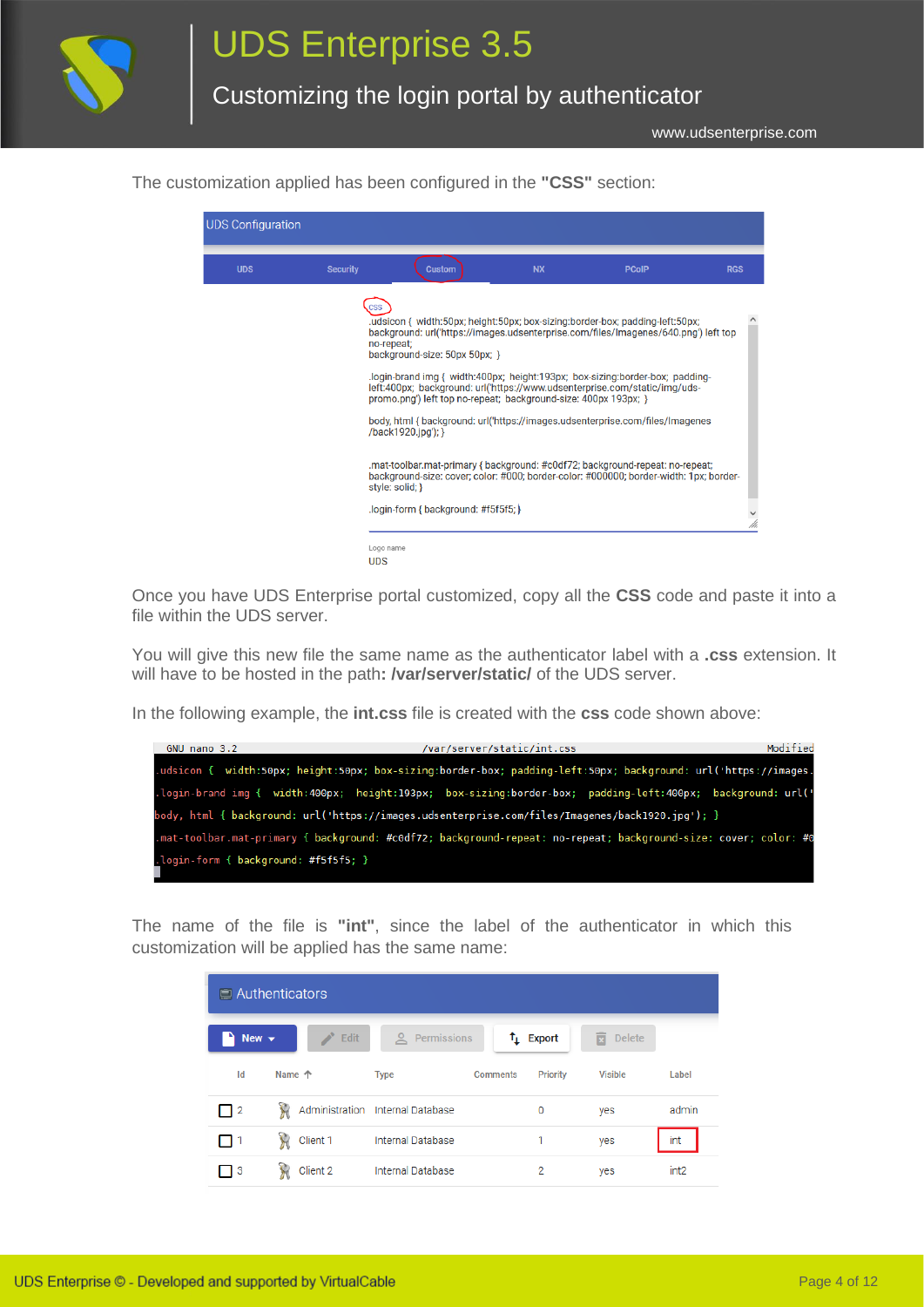

www.udsenterprise.com

The customization applied has been configured in the **"CSS"** section:



Once you have UDS Enterprise portal customized, copy all the **CSS** code and paste it into a file within the UDS server.

You will give this new file the same name as the authenticator label with a **.css** extension. It will have to be hosted in the path**: /var/server/static/** of the UDS server.

In the following example, the **int.css** file is created with the **css** code shown above:



The name of the file is **"int"**, since the label of the authenticator in which this customization will be applied has the same name:

|                          | $\Box$ Authenticators |                                  |                                    |                    |                  |  |  |  |
|--------------------------|-----------------------|----------------------------------|------------------------------------|--------------------|------------------|--|--|--|
| New $\blacktriangledown$ | <b>SALES</b><br>Edit  | ≗<br>Permissions                 | $\uparrow$ Export                  | 面<br><b>Delete</b> |                  |  |  |  |
| Id                       | Name 个                | <b>Type</b>                      | <b>Comments</b><br><b>Priority</b> | <b>Visible</b>     | Label            |  |  |  |
| $\Box$ 2                 | $\mathcal{F}$         | Administration Internal Database | 0                                  | yes                | admin            |  |  |  |
| ٦1                       | Ŵ<br>Client 1         | <b>Internal Database</b>         | 1                                  | yes                | int              |  |  |  |
| ∃ 3                      | Ŷ,<br>Client 2        | <b>Internal Database</b>         | $\overline{2}$                     | yes                | int <sub>2</sub> |  |  |  |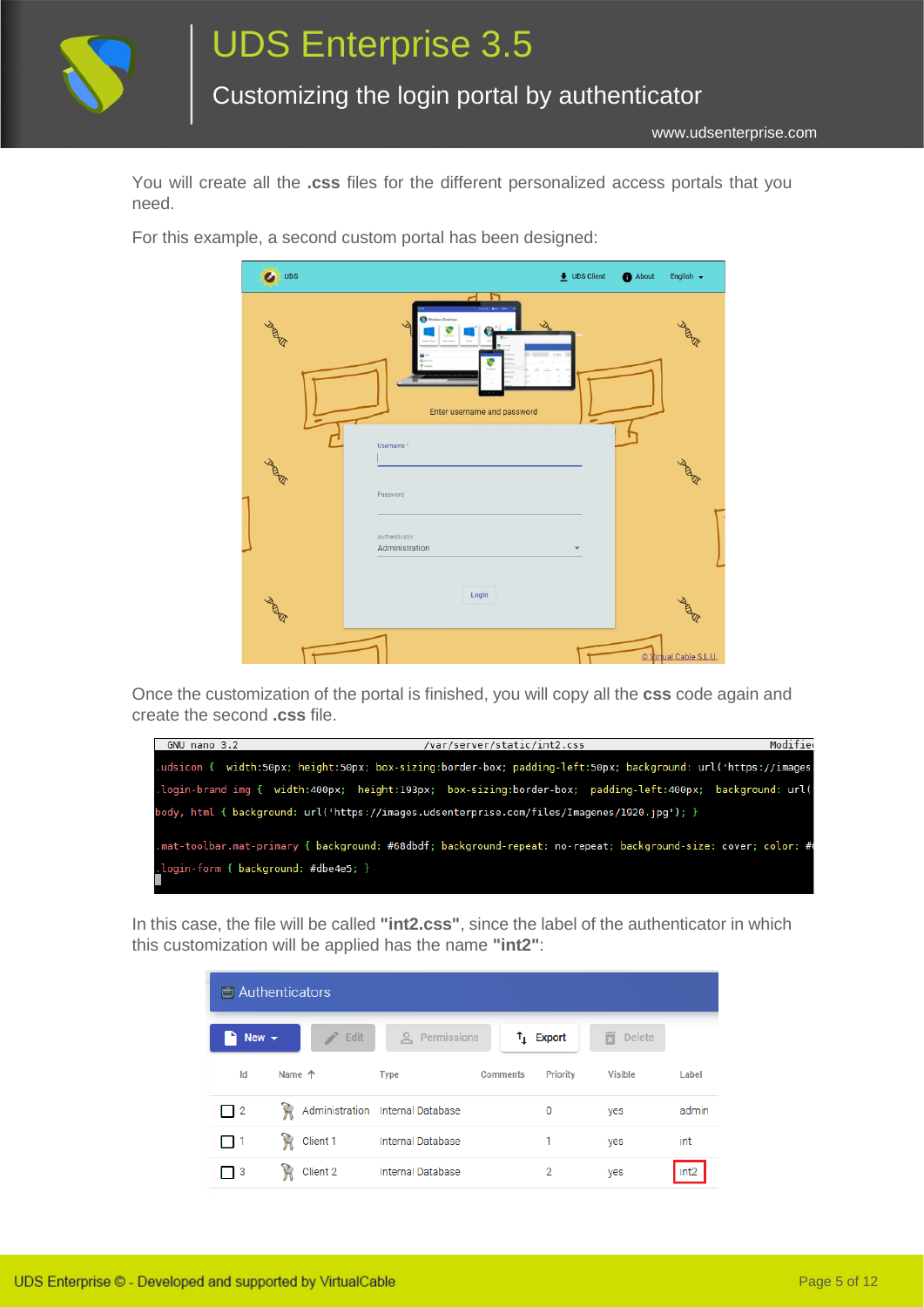

www.udsenterprise.com

You will create all the **.css** files for the different personalized access portals that you need.

> $\bullet$  UDS  $\overline{\bullet}$  UDS Client About English -**RADIO** Fnter username and password Password Administration Login  $\sqrt{t}$ al Cable S.L.U.

For this example, a second custom portal has been designed:

Once the customization of the portal is finished, you will copy all the **css** code again and create the second **.css** file.



In this case, the file will be called **"int2.css"**, since the label of the authenticator in which this customization will be applied has the name **"int2"**:

|                          | $\Box$ Authenticators       |                                |                    |                    |                  |  |  |  |
|--------------------------|-----------------------------|--------------------------------|--------------------|--------------------|------------------|--|--|--|
| New $\blacktriangledown$ | <b>Septiment</b><br>' Edit  | <u>A</u> Permissions           | $t_{\perp}$ Export | 靣<br><b>Delete</b> |                  |  |  |  |
| Id                       | Name 个                      | <b>Comments</b><br><b>Type</b> | <b>Priority</b>    | <b>Visible</b>     | Label            |  |  |  |
| $\Box$ 2                 | $\lambda$<br>Administration | <b>Internal Database</b>       | 0                  | yes                | admin            |  |  |  |
| ٦1                       | $\mathcal{H}$<br>Client 1   | <b>Internal Database</b>       |                    | yes                | int              |  |  |  |
| ヿ 3                      | 惼<br>Client 2               | <b>Internal Database</b>       | 2                  | yes                | int <sub>2</sub> |  |  |  |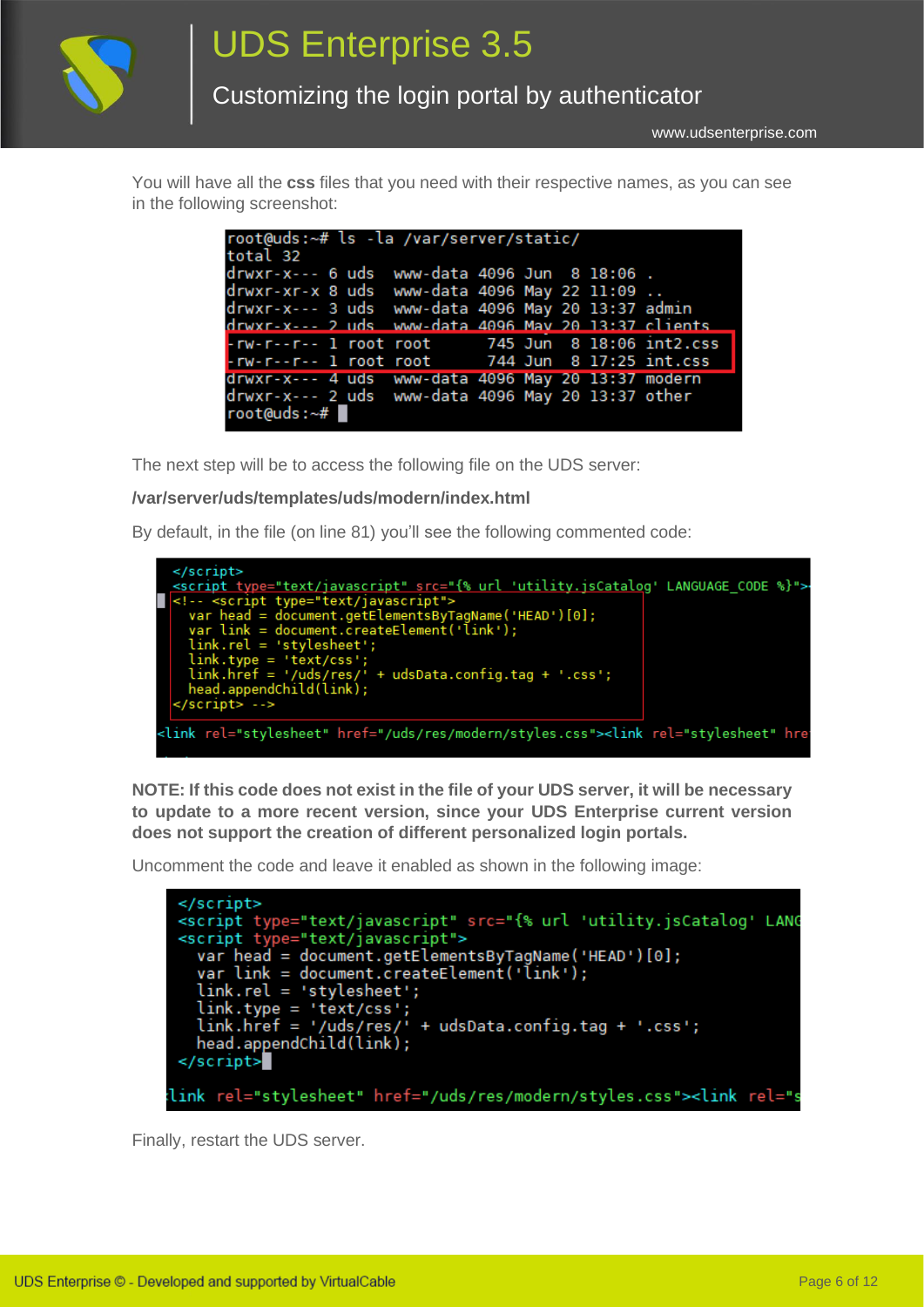

www.udsenterprise.com

You will have all the **css** files that you need with their respective names, as you can see in the following screenshot:

| root@uds:~# ls -la /var/server/static/              |  |  |  |  |  |  |  |
|-----------------------------------------------------|--|--|--|--|--|--|--|
| total 32                                            |  |  |  |  |  |  |  |
| drwxr-x--- 6 uds www-data 4096 Jun 8 18:06.         |  |  |  |  |  |  |  |
| drwxr-xr-x 8 uds www-data 4096 May 22 11:09         |  |  |  |  |  |  |  |
| drwxr-x--- 3 uds www-data 4096 May 20 13:37 admin   |  |  |  |  |  |  |  |
| drwxr-x--- 2 uds www-data 4096 May 20 13:37 clients |  |  |  |  |  |  |  |
| -rw-r--r-- 1 root root 745 Jun 8 18:06 int2.css     |  |  |  |  |  |  |  |
| -rw-r--r-- 1 root root 744 Jun 8 17:25 int.css      |  |  |  |  |  |  |  |
| drwxr-x--- 4 uds www-data 4096 May 20 13:37 modern  |  |  |  |  |  |  |  |
| drwxr-x--- 2 uds www-data 4096 May 20 13:37 other   |  |  |  |  |  |  |  |
| root@uds:~#                                         |  |  |  |  |  |  |  |
|                                                     |  |  |  |  |  |  |  |

The next step will be to access the following file on the UDS server:

#### **/var/server/uds/templates/uds/modern/index.html**

By default, in the file (on line 81) you'll see the following commented code:



**NOTE: If this code does not exist in the file of your UDS server, it will be necessary to update to a more recent version, since your UDS Enterprise current version does not support the creation of different personalized login portals.**

Uncomment the code and leave it enabled as shown in the following image:

| <script javascript"="" src="{% url 'utility.jsCatalog' LANG&lt;/td&gt;&lt;/tr&gt;&lt;tr&gt;&lt;td&gt;&lt;script type=" text="" type="text/javascript"></script> |
|-----------------------------------------------------------------------------------------------------------------------------------------------------------------|

Finally, restart the UDS server.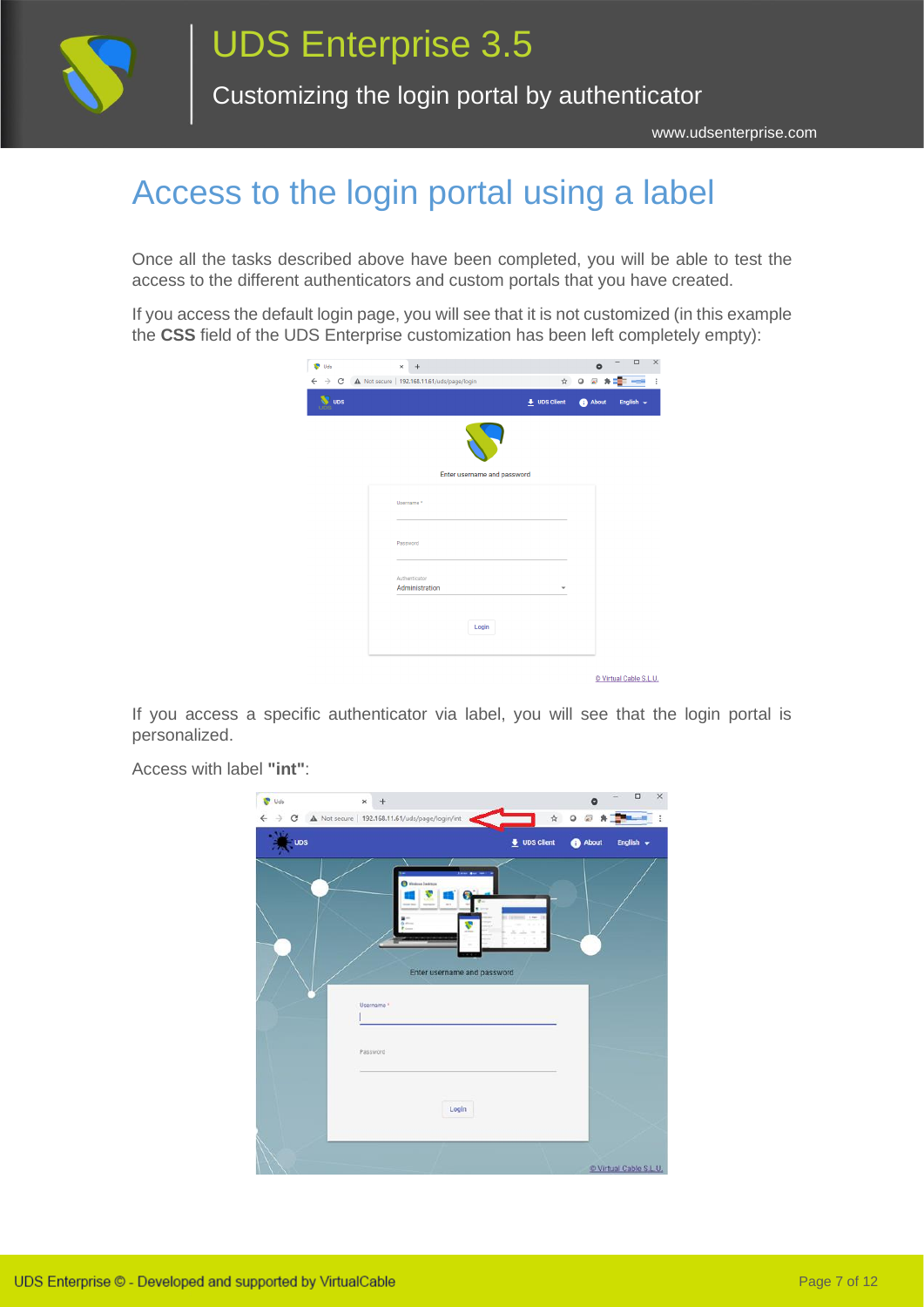

www.udsenterprise.com

### <span id="page-6-0"></span>Access to the login portal using a label

Once all the tasks described above have been completed, you will be able to test the access to the different authenticators and custom portals that you have created.

If you access the default login page, you will see that it is not customized (in this example the **CSS** field of the UDS Enterprise customization has been left completely empty):

| <b>V</b> Uds | $\times$<br>$\ddot{}$           |                      | $\bullet$  | $\Box$<br>X    |
|--------------|---------------------------------|----------------------|------------|----------------|
| $\leftarrow$ |                                 |                      | ☆ ◎ 圖<br>乡 |                |
| <b>UDS</b>   |                                 | $\bullet$ UDS Client | About      | English $\sim$ |
|              |                                 |                      |            |                |
|              | Enter username and password     |                      |            |                |
|              | Username *                      |                      |            |                |
|              | Password                        |                      |            |                |
|              | Authenticator<br>Administration | ÷                    |            |                |
|              | Login                           |                      |            |                |
|              |                                 |                      |            |                |

© Virtual Cable S.L.U.

If you access a specific authenticator via label, you will see that the login portal is personalized.

> n  $x +$  $\overline{38}$  Hz  $\sim$  $\rightarrow$  C  $\land$  Not secure | 192.168.11.61/uds/p ×.  $Q \oplus$ **Star Leader**  $\ddot{\bullet}$  UDS Clien Ä Enter username and password Login C Virtual Cable S.L.U.

Access with label **"int"**: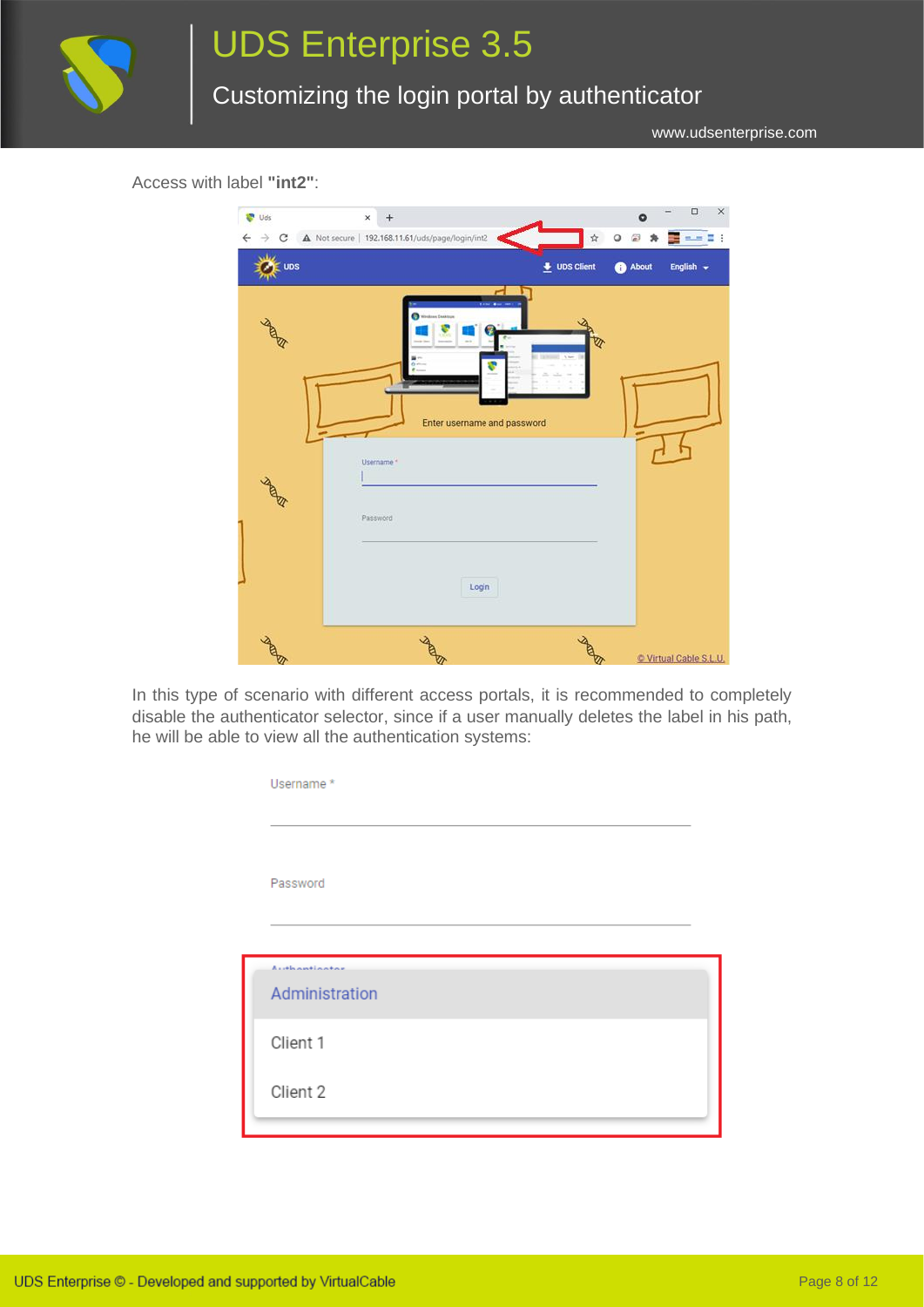

## UDS Enterprise 3.5

Customizing the login portal by authenticator

www.udsenterprise.com

Access with label **"int2"**:



In this type of scenario with different access portals, it is recommended to completely disable the authenticator selector, since if a user manually deletes the label in his path, he will be able to view all the authentication systems:

| Username*                       |  |
|---------------------------------|--|
|                                 |  |
| Password                        |  |
|                                 |  |
| Authoritantes<br>Administration |  |
| Client 1                        |  |
| Client 2                        |  |
|                                 |  |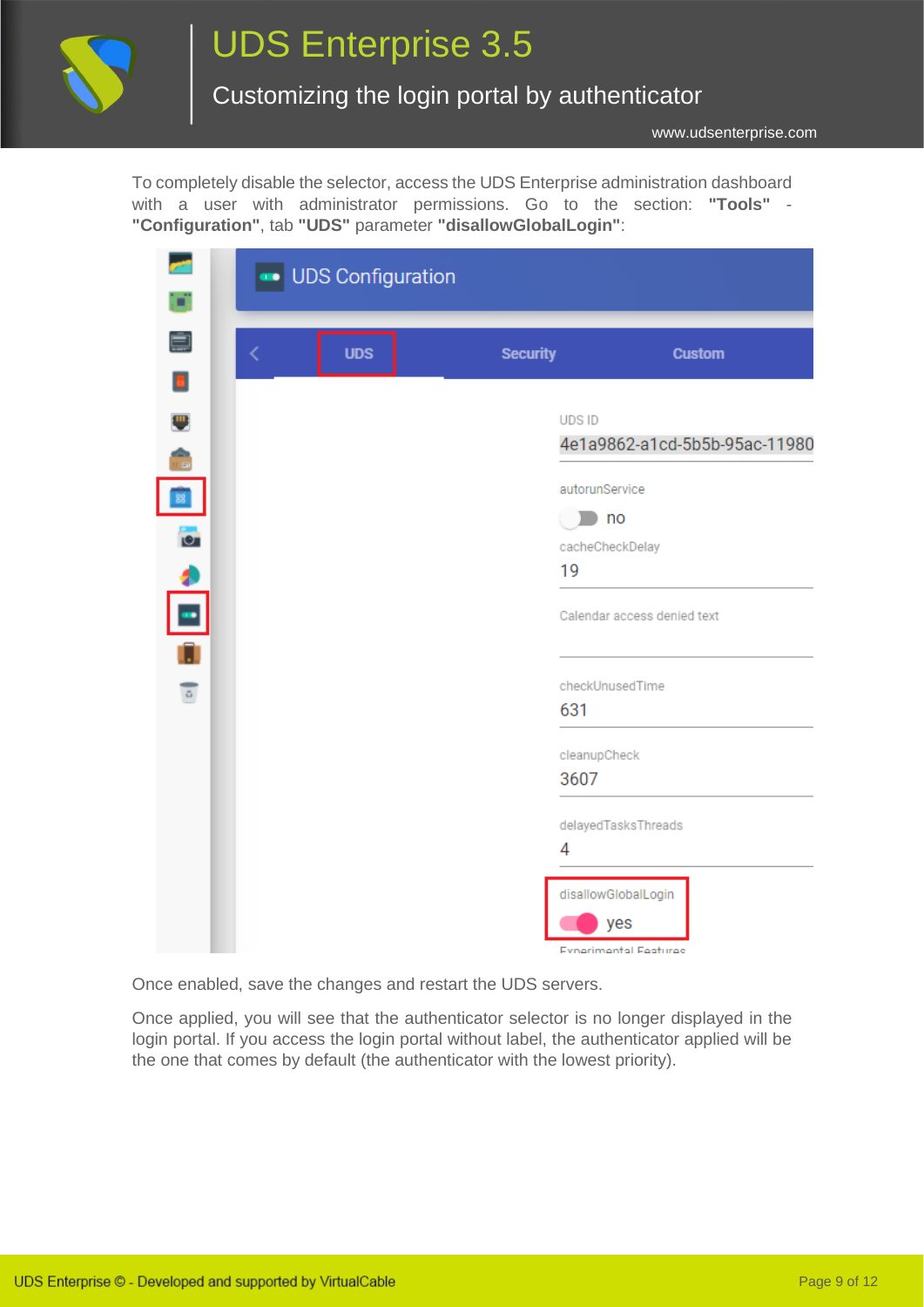

# UDS Enterprise 3.5

#### Customizing the login portal by authenticator

www.udsenterprise.com

with a user with administrator permissions. Go to the section: "Tools" -To completely disable the selector, access the UDS Enterprise administration dashboard **"Configuration"**, tab **"UDS"** parameter **"disallowGlobalLogin"**:

| <b>CALL</b>     |   | UDS Configuration |                              |                               |
|-----------------|---|-------------------|------------------------------|-------------------------------|
| ď.              |   |                   |                              |                               |
| Ó               | K | <b>UDS</b>        | <b>Security</b>              | <b>Custom</b>                 |
| Ξ               |   |                   |                              |                               |
| E.<br>Ô         |   |                   | UDS ID                       | 4e1a9862-a1cd-5b5b-95ac-11980 |
|                 |   |                   | autorunService               |                               |
| 88              |   |                   | no                           |                               |
| $\bullet$       |   |                   | cacheCheckDelay              |                               |
|                 |   |                   | 19                           |                               |
| $\frac{1}{\pi}$ |   |                   |                              | Calendar access denied text   |
|                 |   |                   |                              |                               |
| $\circ$         |   |                   | checkUnusedTime              |                               |
|                 |   |                   | 631                          |                               |
|                 |   |                   | cleanupCheck                 |                               |
|                 |   |                   | 3607                         |                               |
|                 |   |                   | delayedTasksThreads          |                               |
|                 |   |                   | 4                            |                               |
|                 |   |                   | disallowGlobalLogin          |                               |
|                 |   |                   | yes                          |                               |
|                 |   |                   | <b>Evnerimental Features</b> |                               |

Once enabled, save the changes and restart the UDS servers.

Once applied, you will see that the authenticator selector is no longer displayed in the login portal. If you access the login portal without label, the authenticator applied will be the one that comes by default (the authenticator with the lowest priority).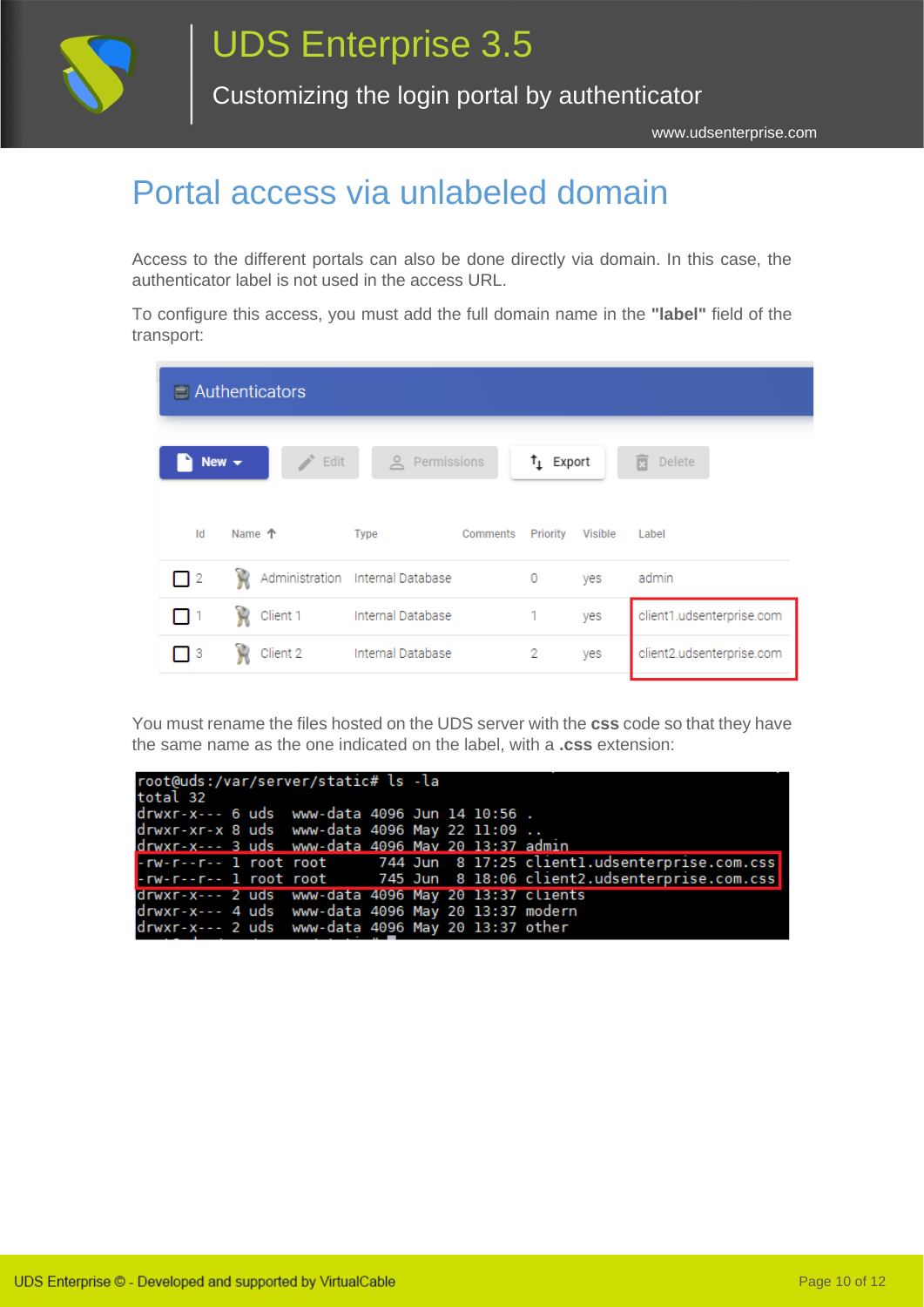

#### <span id="page-9-0"></span>Portal access via unlabeled domain

Access to the different portals can also be done directly via domain. In this case, the authenticator label is not used in the access URL.

To configure this access, you must add the full domain name in the **"label"** field of the transport:

|            | $\Box$ Authenticators |                       |                    |                |                           |
|------------|-----------------------|-----------------------|--------------------|----------------|---------------------------|
| New $\sim$ | B.<br>b Edit          | $\geq$<br>Permissions | $t_{\perp}$ Export |                | 面<br>Delete               |
| Id         | Name 个                | Type<br>Comments      | Priority           | <b>Visible</b> | Label                     |
| $\vert$ 2  | Ŵ<br>Administration   | Internal Database     | 0                  | yes            | admin                     |
|            | Ĥ<br>Client 1         | Internal Database     | 1                  | yes            | client1.udsenterprise.com |
| ٦3         | Client 2              | Internal Database     | 2                  | yes            | client2.udsenterprise.com |

You must rename the files hosted on the UDS server with the **css** code so that they have the same name as the one indicated on the label, with a **.css** extension:

| root@uds:/var/server/static# ls -la                 |  |  |  |                                                                      |
|-----------------------------------------------------|--|--|--|----------------------------------------------------------------------|
| total 32                                            |  |  |  |                                                                      |
| drwxr-x--- 6 uds www-data 4096 Jun 14 10:56.        |  |  |  |                                                                      |
| drwxr-xr-x 8 uds www-data 4096 May 22 11:09         |  |  |  |                                                                      |
| drwxr-x--- 3 uds www-data 4096 May 20 13:37 admin   |  |  |  |                                                                      |
|                                                     |  |  |  | -rw-r--r-- 1 root root 744 Jun 8 17:25 client1.udsenterprise.com.css |
|                                                     |  |  |  | -rw-r--r-- 1 root root 745 Jun 8 18:06 client2.udsenterprise.com.css |
| drwxr-x--- 2 uds www-data 4096 May 20 13:37 clients |  |  |  |                                                                      |
| drwxr-x--- 4 uds www-data 4096 May 20 13:37 modern  |  |  |  |                                                                      |
| drwxr-x--- 2 uds www-data 4096 May 20 13:37 other   |  |  |  |                                                                      |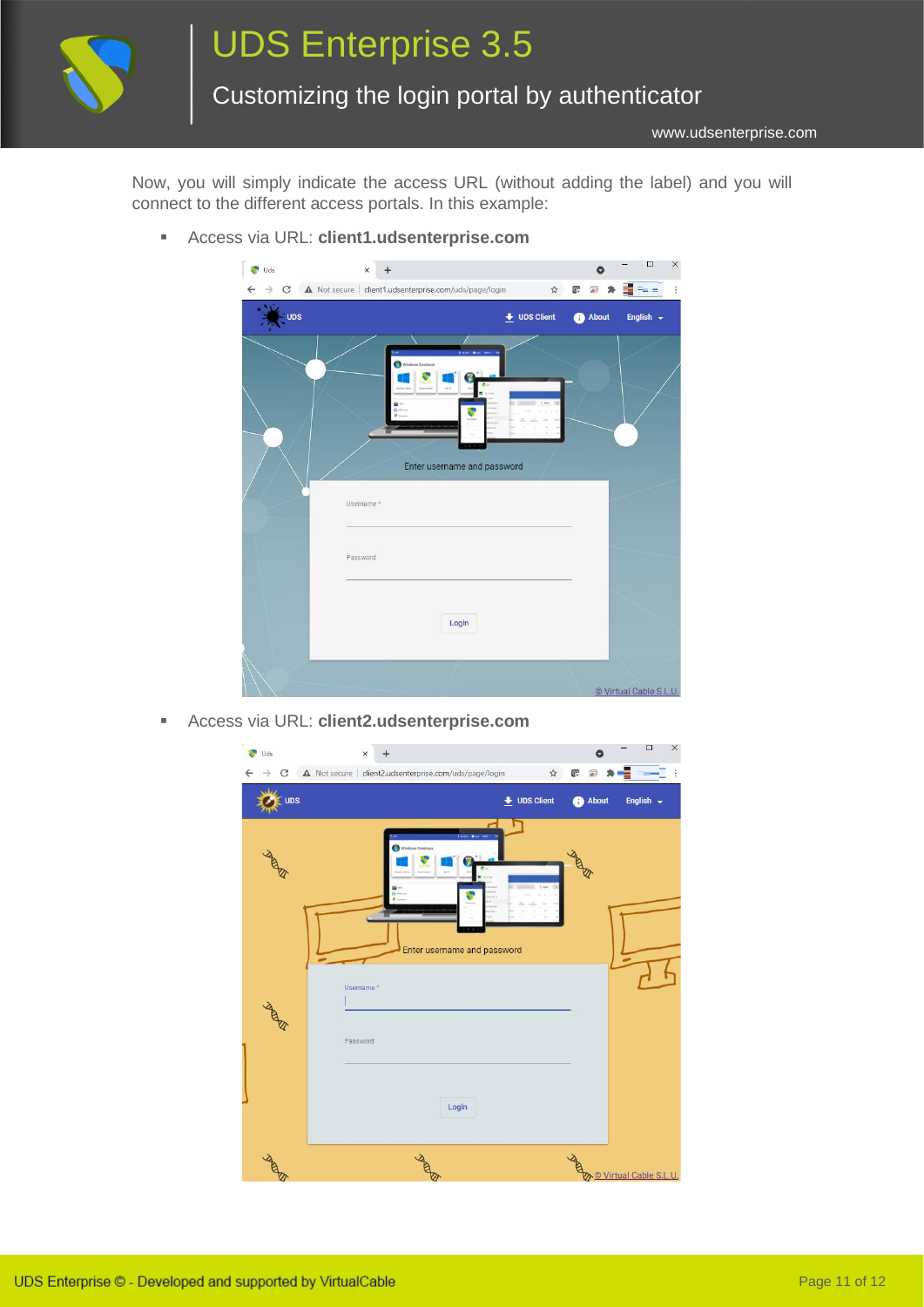

www.udsenterprise.com

Now, you will simply indicate the access URL (without adding the label) and you will connect to the different access portals. In this example:

▪ Access via URL: **client1.udsenterprise.com**



▪ Access via URL: **client2.udsenterprise.com**